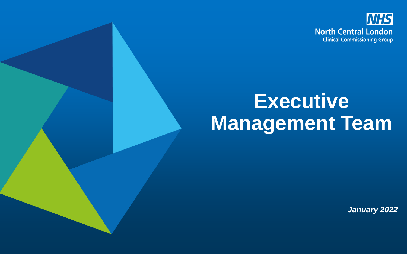

## **Executive Management Team**

*January 2022*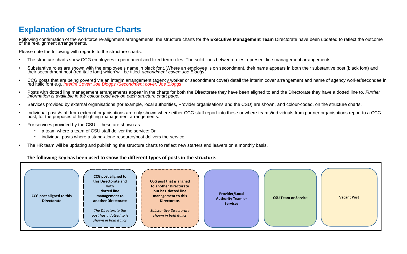## **Explanation of Structure Charts**

Following confirmation of the workforce re-alignment arrangements, the structure charts for the **Executive Management Team** Directorate have been updated to reflect the outcome of the re-alignment arrangements.

Please note the following with regards to the structure charts:

- The structure charts show CCG employees in permanent and fixed term roles. The solid lines between roles represent line management arrangements
- Substantive roles are shown with the employee's name in black font. Where an employee is on secondment, their name appears in both their substantive post (black font) and their secondment post (black font) and their seco
- CCG posts that are being covered via an interim arrangement (agency worker or secondment cover) detail the interim cover arrangement and name of agency worker/secondee in red italic font e.g. *Interim Cover: Joe Bloggs /Secondment cover: Joe Bloggs*
- Posts with dotted line management arrangements appear in the charts for both the Directorate they have been aligned to and the Directorate they have a dotted line to. Further<br>information is available in the colour code k
- Services provided by external organisations (for example, local authorities, Provider organisations and the CSU) are shown, and colour-coded, on the structure charts.
- Individual posts/staff from external organisations are only shown where either CCG staff report into these or where teams/individuals from partner organisations report to a CCG post, for the purposes of highlighting management arrangements.
- For services provided by the CSU these are shown as:
	- a team where a team of CSU staff deliver the service; Or
	- individual posts where a stand-alone resource/post delivers the service.
- The HR team will be updating and publishing the structure charts to reflect new starters and leavers on a monthly basis.

## **The following key has been used to show the different types of posts in the structure.**